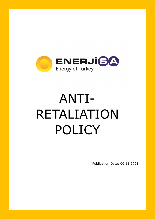

# ANTI-RETALIATION POLICY

Publication Date: 09.11.2021